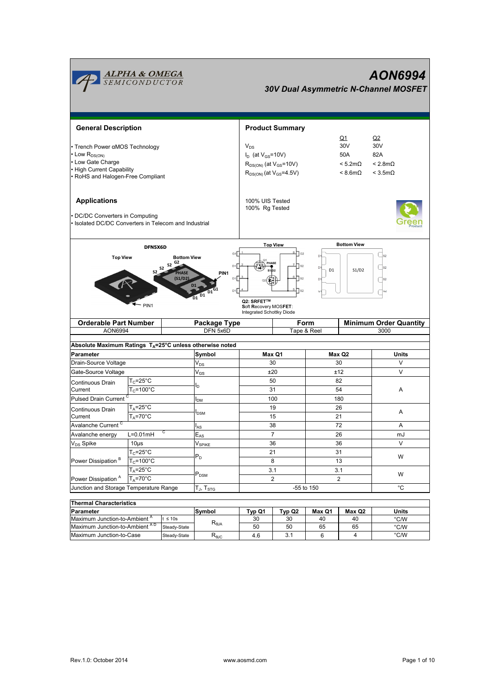

| Thermal Unaracteristics                   |              |                |        |        |        |        |       |  |  |
|-------------------------------------------|--------------|----------------|--------|--------|--------|--------|-------|--|--|
| <b>IParameter</b>                         |              | Symbol         | Typ Q1 | Tvp Q2 | Max Q1 | Max Q2 | Units |  |  |
| Maximum Junction-to-Ambient <sup>"</sup>  | $\leq 10s$   |                | 30     | 30     | 40     | 40     | °C/W  |  |  |
| Maximum Junction-to-Ambient <sup>AD</sup> | Steady-State | $R_{\theta$ JA | 50     | 50     | 65     | 65     | °C/W  |  |  |
| Maximum Junction-to-Case                  | Steady-State | $R_{\theta$ JC | 4.6    |        |        |        | °C/W  |  |  |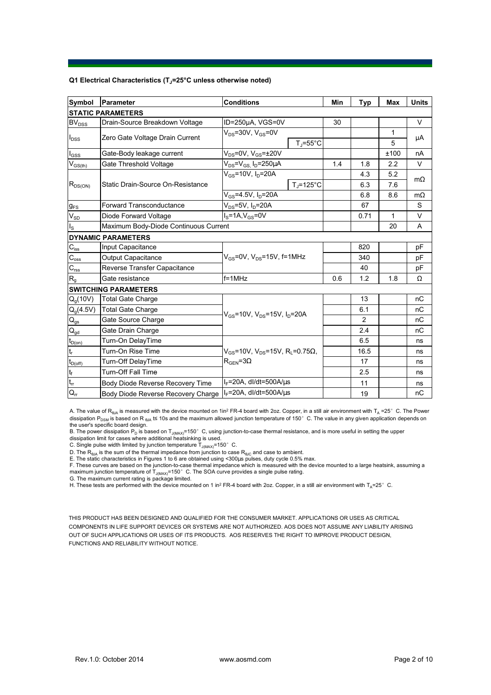## **Q1 Electrical Characteristics (TJ=25°C unless otherwise noted)**

| Symbol                                  | Parameter                             | <b>Conditions</b>                                                                                         |                     | Min | <b>Typ</b> | <b>Max</b> | <b>Units</b> |  |  |
|-----------------------------------------|---------------------------------------|-----------------------------------------------------------------------------------------------------------|---------------------|-----|------------|------------|--------------|--|--|
| <b>STATIC PARAMETERS</b>                |                                       |                                                                                                           |                     |     |            |            |              |  |  |
| <b>BV<sub>DSS</sub></b>                 | Drain-Source Breakdown Voltage        | ID=250µA, VGS=0V                                                                                          |                     | 30  |            |            | V            |  |  |
| $I_{DSS}$                               | Zero Gate Voltage Drain Current       | $V_{DS}$ =30V, $V_{GS}$ =0V                                                                               |                     |     |            | 1          |              |  |  |
|                                         |                                       |                                                                                                           | $T_J = 55^{\circ}C$ |     |            | 5          | μA           |  |  |
| $I_{GSS}$                               | Gate-Body leakage current             | $V_{DS}$ =0V, $V_{GS}$ = $\pm$ 20V                                                                        |                     |     |            | ±100       | nA           |  |  |
| $\mathsf{V}_{\mathsf{GS}(\mathsf{th})}$ | Gate Threshold Voltage                | $V_{DS} = V_{GS}$ , $I_D = 250 \mu A$                                                                     |                     | 1.4 | 1.8        | 2.2        | V            |  |  |
| $R_{DS(ON)}$                            | Static Drain-Source On-Resistance     | $V_{GS}$ =10V, $I_{D}$ =20A                                                                               |                     |     | 4.3        | 5.2        |              |  |  |
|                                         |                                       |                                                                                                           | $T_J = 125$ °C      |     | 6.3        | 7.6        | $m\Omega$    |  |  |
|                                         |                                       | $V_{GS}$ =4.5V, $I_D$ =20A                                                                                |                     |     | 6.8        | 8.6        | $m\Omega$    |  |  |
| $g_{FS}$                                | <b>Forward Transconductance</b>       | $V_{DS}$ =5V, I <sub>D</sub> =20A                                                                         |                     |     | 67         |            | S            |  |  |
| $V_{SD}$                                | Diode Forward Voltage                 | $IS=1A, VGS=0V$                                                                                           |                     |     | 0.71       | 1          | V            |  |  |
| $I_{\rm S}$                             | Maximum Body-Diode Continuous Current |                                                                                                           |                     |     |            | 20         | A            |  |  |
|                                         | <b>DYNAMIC PARAMETERS</b>             |                                                                                                           |                     |     |            |            |              |  |  |
| $\mathbf{C}_{\text{iss}}$               | Input Capacitance                     | $V_{GS}$ =0V, $V_{DS}$ =15V, f=1MHz                                                                       |                     |     | 820        |            | pF           |  |  |
| $C_{\rm oss}$                           | <b>Output Capacitance</b>             |                                                                                                           |                     |     | 340        |            | рF           |  |  |
| $\mathbf{C}_{\text{rss}}$               | Reverse Transfer Capacitance          |                                                                                                           |                     |     | 40         |            | pF           |  |  |
| R <sub>g</sub>                          | Gate resistance                       | $f = 1$ MHz                                                                                               |                     | 0.6 | 1.2        | 1.8        | Ω            |  |  |
|                                         | <b>SWITCHING PARAMETERS</b>           |                                                                                                           |                     |     |            |            |              |  |  |
| $Q_q(10V)$                              | <b>Total Gate Charge</b>              |                                                                                                           |                     |     | 13         |            | nC           |  |  |
| $Q_g(4.5V)$                             | <b>Total Gate Charge</b>              | $V_{GS}$ =10V, $V_{DS}$ =15V, $I_D$ =20A                                                                  |                     |     | 6.1        |            | nC           |  |  |
| $\mathsf{Q}_{\underline{\mathsf{gs}}}$  | Gate Source Charge                    |                                                                                                           |                     |     | 2          |            | nC           |  |  |
| $\mathsf{Q}_{\mathsf{gd}}$              | Gate Drain Charge                     |                                                                                                           |                     |     | 2.4        |            | nC           |  |  |
| $t_{D(0n)}$                             | Turn-On DelayTime                     | $V_{\text{GS}}$ =10V, $V_{\text{DS}}$ =15V, R <sub>1</sub> =0.75 $\Omega$ ,<br>$R_{\text{GEN}} = 3\Omega$ |                     |     | 6.5        |            | ns           |  |  |
| $\mathsf{t}_{\mathsf{r}}$               | Turn-On Rise Time                     |                                                                                                           |                     |     | 16.5       |            | ns           |  |  |
| $t_{D(off)}$                            | Turn-Off DelayTime                    |                                                                                                           |                     |     | 17         |            | ns           |  |  |
| $\mathsf{t}_{\mathsf{f}}$               | <b>Turn-Off Fall Time</b>             |                                                                                                           |                     |     | 2.5        |            | ns           |  |  |
| $\overline{t_{rr}}$                     | Body Diode Reverse Recovery Time      | $I_F$ =20A, dl/dt=500A/ $\mu$ s                                                                           |                     |     | 11         |            | ns           |  |  |
| $Q_{rr}$                                | Body Diode Reverse Recovery Charge    | $I_F$ =20A, dl/dt=500A/us                                                                                 |                     |     | 19         |            | nC           |  |  |

A. The value of  $R_{\theta JA}$  is measured with the device mounted on 1in<sup>2</sup> FR-4 board with 2oz. Copper, in a still air environment with T<sub>A</sub> =25°C. The Power dissipation P<sub>DSM</sub> is based on R <sub>θJA</sub> t≤ 10s and the maximum allowed junction temperature of 150°C. The value in any given application depends on

the user's specific board design.<br>B. The power dissipation P<sub>D</sub> is based on T<sub>J(MAX)</sub>=150° C, using junction-to-case thermal resistance, and is more useful in setting the upper<br>dissipation limit for cases where additional

D. The  $\mathsf{R}_{\sf 0JA}$  is the sum of the thermal impedance from junction to case  $\mathsf{R}_{\sf 6JC}$  and case to ambient.

E. The static characteristics in Figures 1 to 6 are obtained using <300us pulses, duty cycle 0.5% max.

F. These curves are based on the junction-to-case thermal impedance which is measured with the device mounted to a large heatsink, assuming a maximum junction temperature of  $T_{J(MAX)}$ =150°C. The SOA curve provides a single pulse rating.

G. The maximum current rating is package limited.

H. These tests are performed with the device mounted on 1 in<sup>2</sup> FR-4 board with 2oz. Copper, in a still air environment with T<sub>A</sub>=25°C.

THIS PRODUCT HAS BEEN DESIGNED AND QUALIFIED FOR THE CONSUMER MARKET. APPLICATIONS OR USES AS CRITICAL COMPONENTS IN LIFE SUPPORT DEVICES OR SYSTEMS ARE NOT AUTHORIZED. AOS DOES NOT ASSUME ANY LIABILITY ARISING OUT OF SUCH APPLICATIONS OR USES OF ITS PRODUCTS. AOS RESERVES THE RIGHT TO IMPROVE PRODUCT DESIGN, FUNCTIONS AND RELIABILITY WITHOUT NOTICE.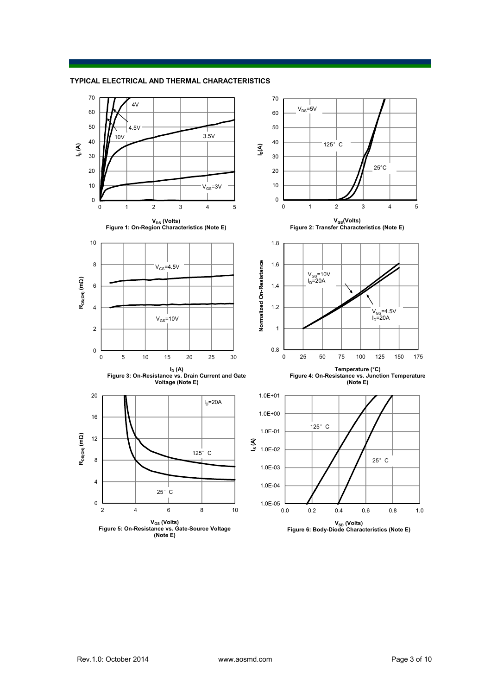**TYPICAL ELECTRICAL AND THERMAL CHARACTERISTICS**

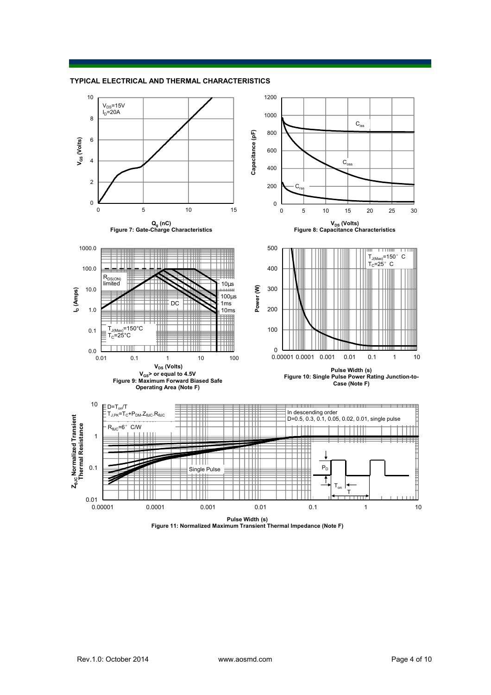



**Pulse Width (s) Figure 11: Normalized Maximum Transient Thermal Impedance (Note F)**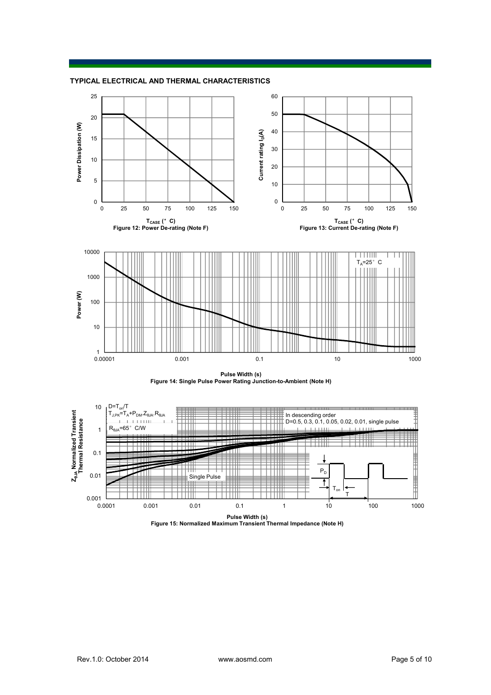







**Pulse Width (s) Figure 15: Normalized Maximum Transient Thermal Impedance (Note H)**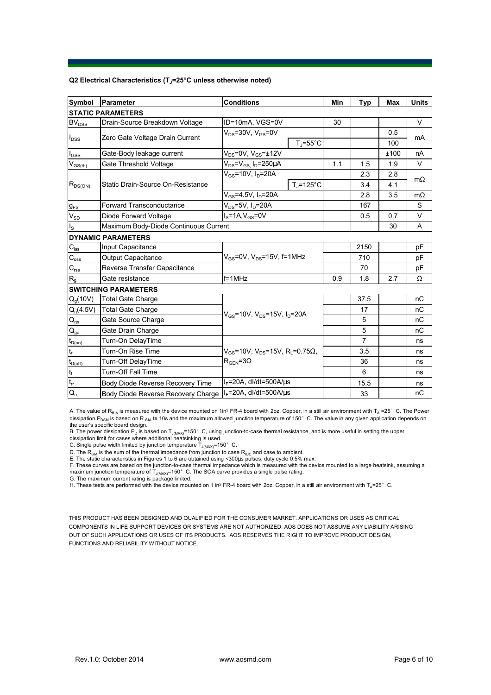## **Q2 Electrical Characteristics (TJ=25°C unless otherwise noted)**

| Symbol                                 | Parameter                             | <b>Conditions</b>                                                                           |                      | Min | <b>Typ</b>     | <b>Max</b> | <b>Units</b> |  |  |
|----------------------------------------|---------------------------------------|---------------------------------------------------------------------------------------------|----------------------|-----|----------------|------------|--------------|--|--|
| <b>STATIC PARAMETERS</b>               |                                       |                                                                                             |                      |     |                |            |              |  |  |
| <b>BV<sub>DSS</sub></b>                | Drain-Source Breakdown Voltage        | ID=10mA, VGS=0V                                                                             |                      | 30  |                |            | V            |  |  |
| $I_{DSS}$                              | Zero Gate Voltage Drain Current       | $V_{DS}$ =30V, $V_{GS}$ =0V                                                                 |                      |     |                | 0.5        | mA           |  |  |
|                                        |                                       |                                                                                             | $T_i = 55^{\circ}C$  |     |                | 100        |              |  |  |
| $I_{GSS}$                              | Gate-Body leakage current             | $V_{DS}$ =0V, $V_{GS}$ = $\pm$ 12V                                                          |                      |     |                | ±100       | nA           |  |  |
| $V_{GS$                                | Gate Threshold Voltage                | $V_{DS} = V_{GS}$ , $I_D = 250 \mu A$                                                       |                      | 1.1 | 1.5            | 1.9        | V            |  |  |
| $R_{DS(ON)}$                           | Static Drain-Source On-Resistance     | $V_{GS}$ =10V, $I_D$ =20A                                                                   |                      |     | 2.3            | 2.8        | $m\Omega$    |  |  |
|                                        |                                       |                                                                                             | $T_i = 125^{\circ}C$ |     | 3.4            | 4.1        |              |  |  |
|                                        |                                       | $V_{GS} = 4.5V, I_D = 20A$                                                                  |                      |     | 2.8            | 3.5        | $m\Omega$    |  |  |
| $g_{FS}$                               | <b>Forward Transconductance</b>       | $V_{DS}$ =5V, $I_D$ =20A                                                                    |                      |     | 167            |            | S            |  |  |
| $V_{SD}$                               | Diode Forward Voltage                 | $I_S = 1A$ , $V_{GS} = 0V$                                                                  |                      |     | 0.5            | 0.7        | $\vee$       |  |  |
| $I_{\rm S}$                            | Maximum Body-Diode Continuous Current |                                                                                             |                      |     |                | 30         | A            |  |  |
|                                        | <b>DYNAMIC PARAMETERS</b>             |                                                                                             |                      |     |                |            |              |  |  |
| $C_{\hbox{\tiny ISS}}$                 | Input Capacitance                     | $V_{GS}$ =0V, $V_{DS}$ =15V, f=1MHz                                                         |                      |     | 2150           |            | pF           |  |  |
| $C_{\rm oss}$                          | <b>Output Capacitance</b>             |                                                                                             |                      |     | 710            |            | рF           |  |  |
| $C_{\text{rss}}$                       | Reverse Transfer Capacitance          |                                                                                             |                      | 70  |                | pF         |              |  |  |
| R <sub>g</sub>                         | Gate resistance                       | $f = 1$ MHz                                                                                 |                      | 0.9 | 1.8            | 2.7        | Ω            |  |  |
|                                        | <b>SWITCHING PARAMETERS</b>           |                                                                                             |                      |     |                |            |              |  |  |
| $Q_q(10V)$                             | <b>Total Gate Charge</b>              | $V_{GS}$ =10V, $V_{DS}$ =15V, $I_D$ =20A                                                    |                      |     | 37.5           |            | nC           |  |  |
| $Q_g(4.5V)$                            | <b>Total Gate Charge</b>              |                                                                                             |                      |     | 17             |            | nC           |  |  |
| $Q_{gs}$                               | Gate Source Charge                    |                                                                                             |                      |     | 5              |            | nC           |  |  |
| $\mathsf{Q}_{\underline{\mathsf{gd}}}$ | Gate Drain Charge                     |                                                                                             |                      |     | 5              |            | nC           |  |  |
| $t_{D(0n)}$                            | Turn-On DelayTime                     | $V_{GS}$ =10V, $V_{DS}$ =15V, R <sub>L</sub> =0.75 $\Omega$ ,<br>$R_{\text{GEN}} = 3\Omega$ |                      |     | $\overline{7}$ |            | ns           |  |  |
| $t_{r}$                                | Turn-On Rise Time                     |                                                                                             |                      |     | 3.5            |            | ns           |  |  |
| $t_{D(off)}$                           | Turn-Off DelayTime                    |                                                                                             |                      |     | 36             |            | ns           |  |  |
| $\mathfrak{t}_{\mathsf{f}}$            | <b>Turn-Off Fall Time</b>             |                                                                                             |                      |     | 6              |            | ns           |  |  |
| $\mathsf{t}_{\mathsf{rr}}$             | Body Diode Reverse Recovery Time      | $I_F$ =20A, dl/dt=500A/ $\mu$ s                                                             |                      |     | 15.5           |            | ns           |  |  |
| $Q_{rr}$                               | Body Diode Reverse Recovery Charge    | $I_F$ =20A, dl/dt=500A/ $\mu$ s                                                             |                      |     | 33             |            | nC           |  |  |

A. The value of  $R_{\theta JA}$  is measured with the device mounted on 1in<sup>2</sup> FR-4 board with 2oz. Copper, in a still air environment with T<sub>A</sub> =25°C. The Power dissipation P<sub>DSM</sub> is based on R <sub>θJA</sub> t≤ 10s and the maximum allowed junction temperature of 150°C. The value in any given application depends on

the user's specific board design.<br>B. The power dissipation P<sub>D</sub> is based on T<sub>J(MAX)</sub>=150° C, using junction-to-case thermal resistance, and is more useful in setting the upper<br>dissipation limit for cases where additional

D. The  $\mathsf{R}_{\sf 0JA}$  is the sum of the thermal impedance from junction to case  $\mathsf{R}_{\sf 6JC}$  and case to ambient.

E. The static characteristics in Figures 1 to 6 are obtained using <300us pulses, duty cycle 0.5% max.

F. These curves are based on the junction-to-case thermal impedance which is measured with the device mounted to a large heatsink, assuming a maximum junction temperature of  $T_{J(MAX)}$ =150°C. The SOA curve provides a single pulse rating.

G. The maximum current rating is package limited.

H. These tests are performed with the device mounted on 1 in<sup>2</sup> FR-4 board with 2oz. Copper, in a still air environment with T<sub>A</sub>=25°C.

THIS PRODUCT HAS BEEN DESIGNED AND QUALIFIED FOR THE CONSUMER MARKET. APPLICATIONS OR USES AS CRITICAL COMPONENTS IN LIFE SUPPORT DEVICES OR SYSTEMS ARE NOT AUTHORIZED. AOS DOES NOT ASSUME ANY LIABILITY ARISING OUT OF SUCH APPLICATIONS OR USES OF ITS PRODUCTS. AOS RESERVES THE RIGHT TO IMPROVE PRODUCT DESIGN, FUNCTIONS AND RELIABILITY WITHOUT NOTICE.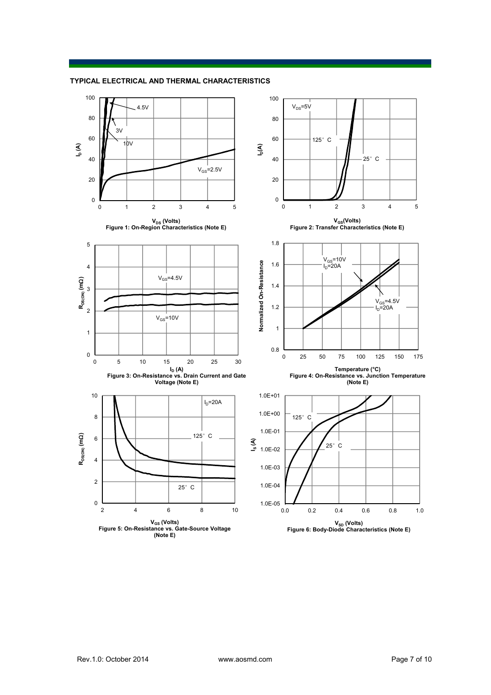

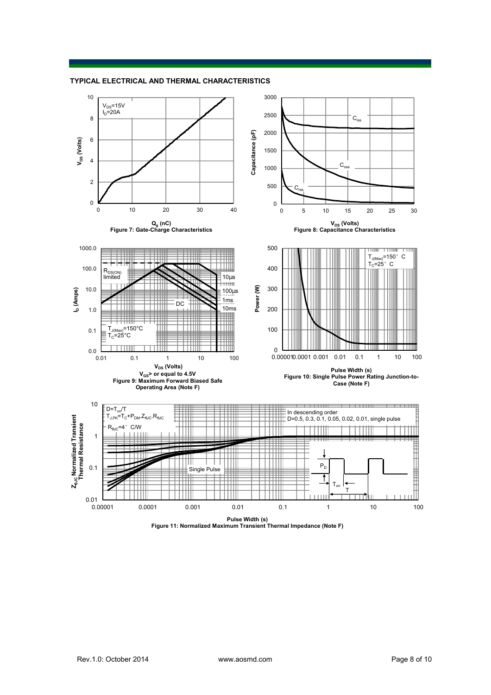



**Pulse Width (s) Figure 11: Normalized Maximum Transient Thermal Impedance (Note F)**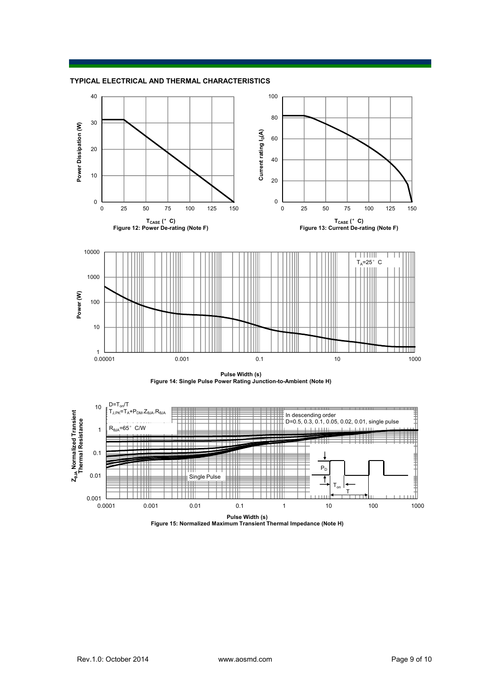





**Pulse Width (s) Figure 15: Normalized Maximum Transient Thermal Impedance (Note H)**